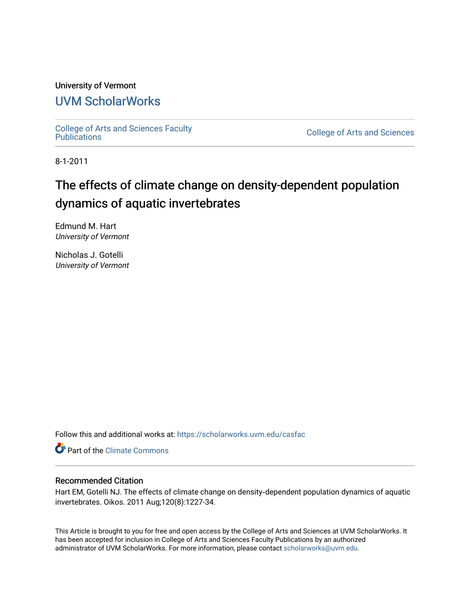## University of Vermont [UVM ScholarWorks](https://scholarworks.uvm.edu/)

[College of Arts and Sciences Faculty](https://scholarworks.uvm.edu/casfac)

**College of Arts and Sciences** 

8-1-2011

# The effects of climate change on density-dependent population dynamics of aquatic invertebrates

Edmund M. Hart University of Vermont

Nicholas J. Gotelli University of Vermont

Follow this and additional works at: [https://scholarworks.uvm.edu/casfac](https://scholarworks.uvm.edu/casfac?utm_source=scholarworks.uvm.edu%2Fcasfac%2F84&utm_medium=PDF&utm_campaign=PDFCoverPages) 

**C** Part of the Climate Commons

## Recommended Citation

Hart EM, Gotelli NJ. The effects of climate change on density-dependent population dynamics of aquatic invertebrates. Oikos. 2011 Aug;120(8):1227-34.

This Article is brought to you for free and open access by the College of Arts and Sciences at UVM ScholarWorks. It has been accepted for inclusion in College of Arts and Sciences Faculty Publications by an authorized administrator of UVM ScholarWorks. For more information, please contact [scholarworks@uvm.edu](mailto:scholarworks@uvm.edu).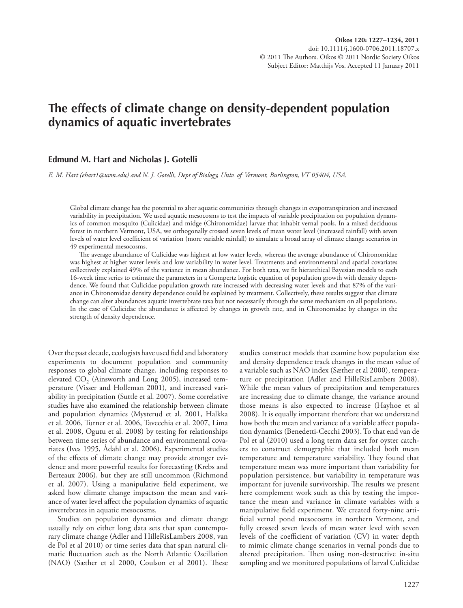## **The effects of climate change on density-dependent population dynamics of aquatic invertebrates**

### **Edmund M. Hart and Nicholas J. Gotelli**

 *E. M. Hart (ehart1@uvm.edu) and N. J. Gotelli, Dept of Biology, Univ. of Vermont, Burlington, VT 05404, USA.* 

 Global climate change has the potential to alter aquatic communities through changes in evapotranspiration and increased variability in precipitation. We used aquatic mesocosms to test the impacts of variable precipitation on population dynamics of common mosquito (Culicidae) and midge (Chironomidae) larvae that inhabit vernal pools. In a mixed deciduous forest in northern Vermont, USA, we orthogonally crossed seven levels of mean water level (increased rainfall) with seven levels of water level coefficient of variation (more variable rainfall) to simulate a broad array of climate change scenarios in 49 experimental mesocosms.

The average abundance of Culicidae was highest at low water levels, whereas the average abundance of Chironomidae was highest at higher water levels and low variability in water level. Treatments and environmental and spatial covariates collectively explained 49% of the variance in mean abundance. For both taxa, we fi t hierarchical Bayesian models to each 16-week time series to estimate the parameters in a Gompertz logistic equation of population growth with density dependence. We found that Culicidae population growth rate increased with decreasing water levels and that 87% of the variance in Chironomidae density dependence could be explained by treatment. Collectively, these results suggest that climate change can alter abundances aquatic invertebrate taxa but not necessarily through the same mechanism on all populations. In the case of Culicidae the abundance is affected by changes in growth rate, and in Chironomidae by changes in the strength of density dependence.

Over the past decade, ecologists have used field and laboratory experiments to document population and community responses to global climate change, including responses to elevated  $CO<sub>2</sub>$  (Ainsworth and Long 2005), increased temperature (Visser and Holleman 2001), and increased variability in precipitation (Suttle et al. 2007). Some correlative studies have also examined the relationship between climate and population dynamics (Mysterud et al. 2001, Halkka et al. 2006, Turner et al. 2006, Tavecchia et al. 2007, Lima et al. 2008, Ogutu et al. 2008) by testing for relationships between time series of abundance and environmental covariates (Ives 1995, Ådahl et al. 2006). Experimental studies of the effects of climate change may provide stronger evidence and more powerful results for forecasting (Krebs and Berteaux 2006), but they are still uncommon (Richmond et al. 2007). Using a manipulative field experiment, we asked how climate change impactson the mean and variance of water level affect the population dynamics of aquatic invertebrates in aquatic mesocosms.

 Studies on population dynamics and climate change usually rely on either long data sets that span contemporary climate change (Adler and HilleRisLambers 2008, van de Pol et al 2010) or time series data that span natural climatic fluctuation such as the North Atlantic Oscillation (NAO) (Sæther et al 2000, Coulson et al 2001). These studies construct models that examine how population size and density dependence track changes in the mean value of a variable such as NAO index (Sæther et al 2000), temperature or precipitation (Adler and HilleRisLambers 2008). While the mean values of precipitation and temperatures are increasing due to climate change, the variance around those means is also expected to increase (Hayhoe et al 2008). It is equally important therefore that we understand how both the mean and variance of a variable affect population dynamics (Benedetti-Cecchi 2003). To that end van de Pol et al (2010) used a long term data set for oyster catchers to construct demographic that included both mean temperature and temperature variability. They found that temperature mean was more important than variability for population persistence, but variability in temperature was important for juvenile survivorship. The results we present here complement work such as this by testing the importance the mean and variance in climate variables with a manipulative field experiment. We created forty-nine artificial vernal pond mesocosms in northern Vermont, and fully crossed seven levels of mean water level with seven levels of the coefficient of variation (CV) in water depth to mimic climate change scenarios in vernal ponds due to altered precipitation. Then using non-destructive in-situ sampling and we monitored populations of larval Culicidae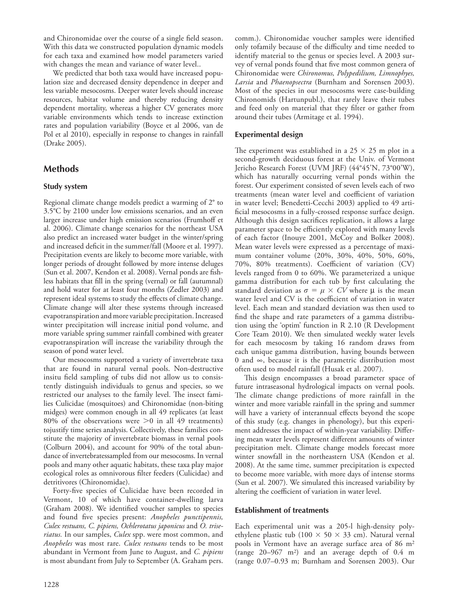and Chironomidae over the course of a single field season. With this data we constructed population dynamic models for each taxa and examined how model parameters varied with changes the mean and variance of water level..

 We predicted that both taxa would have increased population size and decreased density dependence in deeper and less variable mesocosms. Deeper water levels should increase resources, habitat volume and thereby reducing density dependent mortality, whereas a higher CV generates more variable environments which tends to increase extinction rates and population variability (Boyce et al 2006, van de Pol et al 2010), especially in response to changes in rainfall (Drake 2005).

## **Methods**

## **Study system**

Regional climate change models predict a warming of 2° to 3.5 °C by 2100 under low emissions scenarios, and an even larger increase under high emission scenarios (Frumhoff et al. 2006). Climate change scenarios for the northeast USA also predict an increased water budget in the winter/spring and increased deficit in the summer/fall (Moore et al. 1997). Precipitation events are likely to become more variable, with longer periods of drought followed by more intense deluges (Sun et al. 2007, Kendon et al. 2008). Vernal ponds are fishless habitats that fill in the spring (vernal) or fall (autumnal) and hold water for at least four months (Zedler 2003) and represent ideal systems to study the effects of climate change. Climate change will alter these systems through increased evapotranspiration and more variable precipitation. Increased winter precipitation will increase initial pond volume, and more variable spring summer rainfall combined with greater evapotranspiration will increase the variability through the season of pond water level.

 Our mesocosms supported a variety of invertebrate taxa that are found in natural vernal pools. Non-destructive insitu field sampling of tubs did not allow us to consistently distinguish individuals to genus and species, so we restricted our analyses to the family level. The insect families Culicidae (mosquitoes) and Chironomidae (non-biting midges) were common enough in all 49 replicates (at least 80% of the observations were  $>0$  in all 49 treatments) tojustify time series analysis. Collectively, these families constitute the majority of invertebrate biomass in vernal pools (Colburn 2004), and account for 90% of the total abundance of invertebratessampled from our mesocosms. In vernal pools and many other aquatic habitats, these taxa play major ecological roles as omnivorous filter feeders (Culicidae) and detritivores (Chironomidae).

Forty-five species of Culicidae have been recorded in Vermont, 10 of which have container-dwelling larva (Graham 2008). We identified voucher samples to species and found five species present: *Anopheles punctipennis*, *Culex restuans, C. pipiens, Ochlerotatus japonicus* and *O. triseriatus.* In our samples, *Culex* spp. were most common, and *Anopheles* was most rare. *Culex restuans* tends to be most abundant in Vermont from June to August, and *C. pipiens* is most abundant from July to September (A. Graham pers.

comm.). Chironomidae voucher samples were identified only tofamily because of the difficulty and time needed to identify material to the genus or species level. A 2003 survey of vernal ponds found that five most common genera of Chironomidae were *Chironomus, Polypedilium, Limnophyes, Larsia* and *Phaenopsectra* (Burnham and Sorensen 2003) . Most of the species in our mesocosms were case-building Chironomids (Hartunpubl.), that rarely leave their tubes and feed only on material that they filter or gather from around their tubes (Armitage et al. 1994).

## **Experimental design**

The experiment was established in a  $25 \times 25$  m plot in a second-growth deciduous forest at the Univ. of Vermont Jericho Research Forest (UVM JRF) (44°45'N, 73°00'W), which has naturally occurring vernal ponds within the forest. Our experiment consisted of seven levels each of two treatments (mean water level and coefficient of variation in water level; Benedetti-Cecchi 2003) applied to 49 artificial mesocosms in a fully-crossed response surface design. Although this design sacrifices replication, it allows a large parameter space to be efficiently explored with many levels of each factor (Inouye 2001, McCoy and Bolker 2008). Mean water levels were expressed as a percentage of maximum container volume (20%, 30%, 40%, 50%, 60%, 70%, 80% treatments). Coefficient of variation (CV) levels ranged from 0 to 60%. We parameterized a unique gamma distribution for each tub by first calculating the standard deviation as  $\sigma = \mu \times CV$  where  $\mu$  is the mean water level and CV is the coefficient of variation in water level. Each mean and standard deviation was then used to find the shape and rate parameters of a gamma distribution using the 'optim' function in  $R$  2.10 ( $R$  Development Core Team 2010). We then simulated weekly water levels for each mesocosm by taking 16 random draws from each unique gamma distribution, having bounds between 0 and ∞ , because it is the parametric distribution most often used to model rainfall (Husak et al. 2007).

This design encompasses a broad parameter space of future intraseasonal hydrological impacts on vernal pools. The climate change predictions of more rainfall in the winter and more variable rainfall in the spring and summer will have a variety of interannual effects beyond the scope of this study (e.g. changes in phenology), but this experiment addresses the impact of within-year variability. Differing mean water levels represent different amounts of winter precipitation melt. Climate change models forecast more winter snowfall in the northeastern USA (Kendon et al. 2008). At the same time, summer precipitation is expected to become more variable, with more days of intense storms (Sun et al. 2007). We simulated this increased variability by altering the coefficient of variation in water level.

### **Establishment of treatments**

 Each experimental unit was a 205-l high-density polyethylene plastic tub (100  $\times$  50  $\times$  33 cm). Natural vernal pools in Vermont have an average surface area of 86 m<sup>2</sup> (range  $20-967$  m<sup>2</sup>) and an average depth of 0.4 m (range  $0.07-0.93$  m; Burnham and Sorensen 2003). Our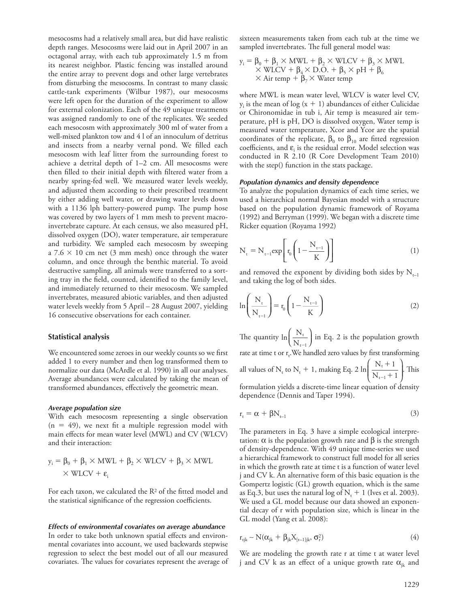mesocosms had a relatively small area, but did have realistic depth ranges. Mesocosms were laid out in April 2007 in an octagonal array, with each tub approximately 1.5 m from its nearest neighbor. Plastic fencing was installed around the entire array to prevent dogs and other large vertebrates from disturbing the mesocosms. In contrast to many classic cattle-tank experiments (Wilbur 1987), our mesocosms were left open for the duration of the experiment to allow for external colonization. Each of the 49 unique treatments was assigned randomly to one of the replicates. We seeded each mesocosm with approximately 300 ml of water from a well-mixed plankton tow and 4 l of an innoculum of detritus and insects from a nearby vernal pond. We filled each mesocosm with leaf litter from the surrounding forest to achieve a detrital depth of  $1-2$  cm. All mesocosms were then filled to their initial depth with filtered water from a nearby spring-fed well. We measured water levels weekly, and adjusted them according to their prescribed treatment by either adding well water, or drawing water levels down with a 1136 lph battery-powered pump. The pump hose was covered by two layers of 1 mm mesh to prevent macroinvertebrate capture. At each census, we also measured pH, dissolved oxygen (DO), water temperature, air temperature and turbidity. We sampled each mesocosm by sweeping a  $7.6 \times 10$  cm net (3 mm mesh) once through the water column, and once through the benthic material. To avoid destructive sampling, all animals were transferred to a sorting tray in the field, counted, identified to the family level, and immediately returned to their mesocosm. We sampled invertebrates, measured abiotic variables, and then adjusted water levels weekly from 5 April – 28 August 2007, yielding 16 consecutive observations for each container.

#### **Statistical analysis**

We encountered some zeroes in our weekly counts so we first added 1 to every number and then log transformed them to normalize our data (McArdle et al. 1990) in all our analyses. Average abundances were calculated by taking the mean of transformed abundances, effectively the geometric mean.

#### *Average population size*

 With each mesocosm representing a single observation  $(n = 49)$ , we next fit a multiple regression model with main effects for mean water level (MWL) and CV (WLCV) and their interaction:

$$
y_i = \beta_0 + \beta_1 \times MWL + \beta_2 \times WLCV + \beta_3 \times MWL
$$
  
× WLCV +  $\varepsilon_i$ 

For each taxon, we calculated the  $R<sup>2</sup>$  of the fitted model and the statistical significance of the regression coefficients.

#### *Effects of environmental covariates on average abundance*

In order to take both unknown spatial effects and environmental covariates into account, we used backwards stepwise regression to select the best model out of all our measured covariates. The values for covariates represent the average of sixteen measurements taken from each tub at the time we sampled invertebrates. The full general model was:

$$
y_i = \beta_0 + \beta_1 \times MWL + \beta_2 \times WLCV + \beta_3 \times MWL
$$
  
× WLCV +  $\beta_4 \times$  D.O. +  $\beta_5 \times$  pH +  $\beta_6$   
× Air temp +  $\beta_7$  × Water temp

 where MWL is mean water level, WLCV is water level CV,  $y_i$  is the mean of log (x + 1) abundances of either Culicidae or Chironomidae in tub i, Air temp is measured air temperature, pH is pH, DO is dissolved oxygen, Water temp is measured water temperature, Xcor and Ycor are the spatial coordinates of the replicate,  $\beta_0$  to  $\beta_{10}$  are fitted regression coefficients, and  $\varepsilon$ <sub>i</sub> is the residual error. Model selection was conducted in R 2.10 (R Core Development Team 2010) with the step() function in the stats package.

#### *Population dynamics and density dependence*

 To analyze the population dynamics of each time series, we used a hierarchical normal Bayesian model with a structure based on the population dynamic framework of Royama (1992) and Berryman (1999). We began with a discrete time Ricker equation (Royama 1992)

$$
N_{t} = N_{t-1} \exp\left[r_0 \left(1 - \frac{N_{t-1}}{K}\right)\right]
$$
 (1)

and removed the exponent by dividing both sides by  $N_{t-1}$ and taking the log of both sides.

$$
\ln\left(\frac{N_{t}}{N_{t-1}}\right) = r_0 \left(1 - \frac{N_{t-1}}{K}\right)
$$
 (2)

The quantity  $\ln\left(\frac{N}{N_t}\right)$ t  $t - 1$ ⎛  $\left(\frac{N_t}{N_{t-1}}\right)$  in Eq. 2 is the population growth rate at time t or  $r_t$ . We handled zero values by first transforming all values of N<sub>t</sub> to N<sub>t</sub> + 1, making Eq. 2 ln  $\frac{N_{t}+1}{N_{t-1}+1}$ t  $t - 1$  $^{+}$  $_{t-1} +$ ⎛ ⎝ ⎜ ⎜ ⎞ ⎠  $\cdot$  This formulation yields a discrete-time linear equation of density dependence (Dennis and Taper 1994).

$$
r_{t} = \alpha + \beta N_{t-1} \tag{3}
$$

The parameters in Eq. 3 have a simple ecological interpretation: α is the population growth rate and β is the strength of density-dependence. With 49 unique time-series we used a hierarchical framework to construct full model for all series in which the growth rate at time t is a function of water level j and CV k. An alternative form of this basic equation is the Gompertz logistic (GL) growth equation, which is the same as Eq.3, but uses the natural log of  $N_t + 1$  (Ives et al. 2003). We used a GL model because our data showed an exponential decay of r with population size, which is linear in the GL model (Yang et al. 2008):

$$
r_{ijk} \sim N(\alpha_{jk} + \beta_{jk} X_{[t-1]jk}, \sigma_r^2)
$$
 (4)

 We are modeling the growth rate r at time t at water level j and CV k as an effect of a unique growth rate  $\alpha_{jk}$  and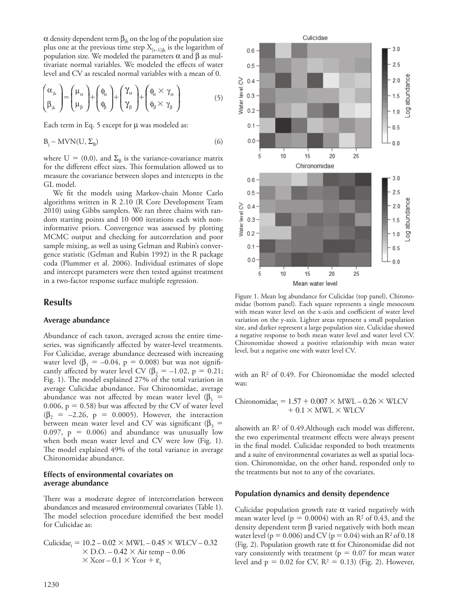α density dependent term  $β_{ik}$  on the log of the population size plus one at the previous time step  $X_{[t-1]jk}$  is the logarithm of population size. We modeled the parameters  $\alpha$  and  $\beta$  as multivariate normal variables. We modeled the effects of water level and CV as rescaled normal variables with a mean of 0.

$$
\begin{pmatrix} \alpha_{jk} \\ \beta_{jk} \end{pmatrix} = \begin{pmatrix} \mu_{\alpha} \\ \mu_{\beta} \end{pmatrix} + \begin{pmatrix} \phi_{\alpha} \\ \phi_{\beta} \end{pmatrix} + \begin{pmatrix} \gamma_{\alpha} \\ \gamma_{\beta} \end{pmatrix} + \begin{pmatrix} \phi_{\alpha} \times \gamma_{\alpha} \\ \phi_{\beta} \times \gamma_{\beta} \end{pmatrix}
$$
(5)

Each term in Eq. 5 except for μ was modeled as:

$$
B_j \sim MVN(U, \Sigma_B) \tag{6}
$$

where  $U = (0,0)$ , and  $\Sigma_B$  is the variance-covariance matrix for the different effect sizes. This formulation allowed us to measure the covariance between slopes and intercepts in the GL model.

We fit the models using Markov-chain Monte Carlo algorithms written in R 2.10 (R Core Development Team 2010) using Gibbs samplers. We ran three chains with random starting points and 10 000 iterations each with noninformative priors. Convergence was assessed by plotting MCMC output and checking for autcorrelation and poor sample mixing, as well as using Gelman and Rubin's convergence statistic (Gelman and Rubin 1992) in the R package coda (Plummer et al. 2006). Individual estimates of slope and intercept parameters were then tested against treatment in a two-factor response surface multiple regression.

#### **Results**

#### **Average abundance**

 Abundance of each taxon, averaged across the entire timeseries, was significantly affected by water-level treatments. For Culicidae, average abundance decreased with increasing water level  $(\beta_1 = -0.04, p = 0.008)$  but was not significantly affected by water level CV ( $\beta_2 = -1.02$ , p = 0.21; Fig. 1). The model explained 27% of the total variation in average Culicidae abundance. For Chironomidae, average abundance was not affected by mean water level ( $\beta_1$  = 0.006,  $p = 0.58$ ) but was affected by the CV of water level  $(\beta_2 = -2.26, p = 0.0005)$ . However, the interaction between mean water level and CV was significant ( $\beta_3$  = 0.097,  $p = 0.006$ ) and abundance was unusually low when both mean water level and CV were low (Fig. 1). The model explained 49% of the total variance in average Chironomidae abundance.

#### **Effects of environmental covariates on average abundance**

There was a moderate degree of intercorrelation between abundances and measured environmental covariates (Table 1). The model selection procedure identified the best model for Culicidae as:

$$
\begin{aligned} \text{Culicidae}_{i} &= 10.2 - 0.02 \times \text{MWL} - 0.45 \times \text{WLCV} - 0.32 \\ &\times \text{D.O.} - 0.42 \times \text{Air temp} - 0.06 \\ &\times \text{Xcor} - 0.1 \times \text{Ycor} + \epsilon_{i} \end{aligned}
$$



 Figure 1. Mean log abundance for Culicidae (top panel), Chironomidae (bottom panel). Each square represents a single mesocosm with mean water level on the x-axis and coefficient of water level variation on the y-axis. Lighter areas represent a small population size, and darker represent a large population size. Culicidae showed a negative response to both mean water level and water level CV. Chironomidae showed a positive relationship with mean water level, but a negative one with water level CV.

with an  $R<sup>2</sup>$  of 0.49. For Chironomidae the model selected was:

Chironomidae<sub>i</sub> =  $1.57 + 0.007 \times MWL - 0.26 \times WLCV$  $+0.1 \times MWL \times WLCV$ 

alsowith an  $R<sup>2</sup>$  of 0.49. Although each model was different, the two experimental treatment effects were always present in the final model. Culicidae responded to both treatments and a suite of environmental covariates as well as spatial location. Chironomidae, on the other hand, responded only to the treatments but not to any of the covariates.

#### **Population dynamics and density dependence**

Culicidae population growth rate  $\alpha$  varied negatively with mean water level ( $p = 0.0004$ ) with an R<sup>2</sup> of 0.43, and the density dependent term β varied negatively with both mean water level ( $p = 0.006$ ) and CV ( $p = 0.04$ ) with an R<sup>2</sup> of 0.18 (Fig. 2). Population growth rate  $\alpha$  for Chironomidae did not vary consistently with treatment ( $p = 0.07$  for mean water level and  $p = 0.02$  for CV,  $R^2 = 0.13$ ) (Fig. 2). However,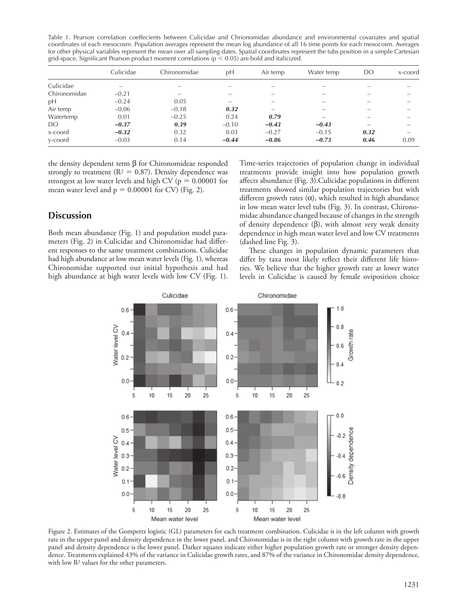Table 1. Pearson correlation coeffecients between Culicidae and Chrionomidae abundance and environmental covariates and spatial coordinates of each mesocosm. Population averages represent the mean log abundance of all 16 time points for each mesocosm. Averages for other physical variables represent the mean over all sampling dates. Spatial coordinates represent the tubs position in a simple Cartesian grid-space. Significant Pearson product moment correlations ( $p < 0.05$ ) are bold and italicized.

|              | Culicidae | Chironomidae             | рH                       | Air temp                 | Water temp               | DO                       | x-coord                  |
|--------------|-----------|--------------------------|--------------------------|--------------------------|--------------------------|--------------------------|--------------------------|
| Culicidae    |           |                          |                          | $\overline{\phantom{a}}$ |                          |                          |                          |
| Chironomidae | $-0.21$   | $\overline{\phantom{0}}$ |                          |                          | -                        |                          |                          |
| рH           | $-0.24$   | 0.05                     | $\overline{\phantom{0}}$ |                          | -                        | $\overline{\phantom{a}}$ |                          |
| Air temp     | $-0.06$   | $-0.18$                  | 0.32                     | -                        |                          | $\overline{\phantom{a}}$ |                          |
| Watertemp    | 0.01      | $-0.25$                  | 0.24                     | 0.79                     | $\overline{\phantom{0}}$ | $\overline{\phantom{0}}$ | $\overline{\phantom{a}}$ |
| DO           | $-0.37$   | 0.39                     | $-0.10$                  | $-0.43$                  | $-0.43$                  | $\overline{\phantom{0}}$ |                          |
| x-coord      | $-0.32$   | 0.32                     | 0.03                     | $-0.27$                  | $-0.15$                  | 0.32                     | $\overline{\phantom{0}}$ |
| y-coord      | $-0.03$   | 0.14                     | $-0.44$                  | $-0.86$                  | $-0.73$                  | 0.46                     | 0.09                     |

the density dependent term β for Chironomideae responded strongly to treatment ( $R<sup>2</sup> = 0.87$ ). Density dependence was strongest at low water levels and high CV ( $p = 0.00001$  for mean water level and  $p = 0.00001$  for CV) (Fig. 2).

## **Discussion**

 Both mean abundance (Fig. 1) and population model parameters (Fig. 2) in Culicidae and Chironomidae had different responses to the same treatment combinations. Culicidae had high abundance at low mean water levels (Fig. 1), whereas Chironomidae supported our initial hypothesis and had high abundance at high water levels with low CV (Fig. 1). Time-series trajectories of population change in individual treatments provide insight into how population growth affects abundance (Fig. 3). Culicidae populations in different treatments showed similar population trajectories but with different growth rates  $(\alpha)$ , which resulted in high abundance in low mean water level tubs (Fig. 3). In contrast, Chironomidae abundance changed because of changes in the strength of density dependence  $(\beta)$ , with almost very weak density dependence in high mean water level and low CV treatments (dashed line Fig. 3).

These changes in population dynamic parameters that differ by taxa most likely reflect their different life histories. We believe that the higher growth rate at lower water levels in Culicidae is caused by female oviposition choice



 Figure 2. Estimates of the Gompertz logistic (GL) parameters for each treatment combination. Culicidae is in the left column with growth rate in the upper panel and density dependence in the lower panel, and Chironomidae is in the right column with growth rate in the upper panel and density dependence is the lower panel. Darker squares indicate either higher population growth rate or stronger density dependence. Treatments explained 43% of the variance in Culicidae growth rates, and 87% of the variance in Chironomidae density dependence, with low  $R<sup>2</sup>$  values for the other parameters.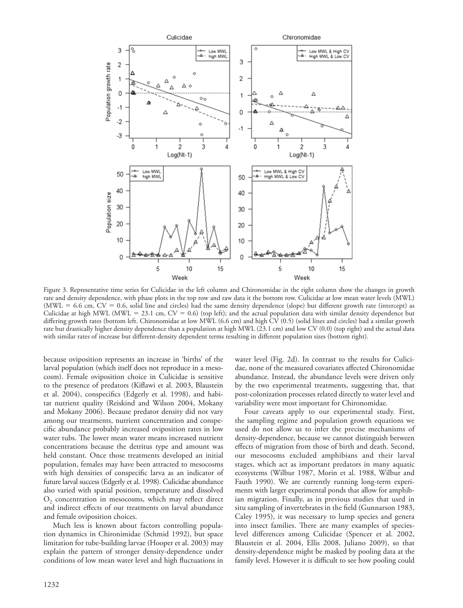

 Figure 3. Representative time series for Culicidae in the left column and Chironomidae in the right column show the changes in growth rate and density dependence, with phase plots in the top row and raw data it the bottom row. Culicidae at low mean water levels (MWL) (MWL = 6.6 cm,  $CV = 0.6$ , solid line and circles) had the same density dependence (slope) but different growth rate (intercept) as Culicidae at high MWL (MWL = 23.1 cm,  $CV = 0.6$ ) (top left); and the actual population data with similar density dependence but differing growth rates (bottom left. Chironomidae at low MWL (6.6 cm) and high CV (0.5) (solid lines and circles) had a similar growth rate but drastically higher density dependence than a population at high MWL (23.1 cm) and low CV (0.0) (top right) and the actual data with similar rates of increase but different-density dependent terms resulting in different population sizes (bottom right).

because oviposition represents an increase in 'births' of the larval population (which itself does not reproduce in a mesocosm). Female oviposition choice in Culicidae is sensitive to the presence of predators (Kiflawi et al. 2003, Blaustein et al. 2004), conspecifics (Edgerly et al. 1998), and habitat nutrient quality (Reiskind and Wilson 2004, Mokany and Mokany 2006). Because predator density did not vary among our treatments, nutrient concentration and conspecific abundance probably increased oviposition rates in low water tubs. The lower mean water means increased nutrient concentrations because the detritus type and amount was held constant. Once those treatments developed an initial population, females may have been attracted to mesocosms with high densities of conspecific larva as an indicator of future larval success (Edgerly et al. 1998). Culicidae abundance also varied with spatial position, temperature and dissolved  $O<sub>2</sub>$  concentration in mesocosms, which may reflect direct and indirect effects of our treatments on larval abundance and female oviposition choices.

 Much less is known about factors controlling population dynamics in Chironimidae (Schmid 1992), but space limitation for tube-building larvae (Hooper et al. 2003) may explain the pattern of stronger density-dependence under conditions of low mean water level and high fluctuations in

water level (Fig. 2d). In contrast to the results for Culicidae, none of the measured covariates affected Chironomidae abundance. Instead, the abundance levels were driven only by the two experimental treatments, suggesting that, that post-colonization processes related directly to water level and variability were most important for Chironomidae.

 Four caveats apply to our experimental study. First, the sampling regime and population growth equations we used do not allow us to infer the precise mechanisms of density-dependence, because we cannot distinguish between effects of migration from those of birth and death. Second, our mesocosms excluded amphibians and their larval stages, which act as important predators in many aquatic ecosystems (Wilbur 1987, Morin et al. 1988, Wilbur and Fauth 1990). We are currently running long-term experiments with larger experimental ponds that allow for amphibian migration. Finally, as in previous studies that used in situ sampling of invertebrates in the field (Gunnarson 1983, Caley 1995), it was necessary to lump species and genera into insect families. There are many examples of specieslevel differences among Culicidae (Spencer et al. 2002, Blaustein et al. 2004, Ellis 2008, Juliano 2009), so that density-dependence might be masked by pooling data at the family level. However it is difficult to see how pooling could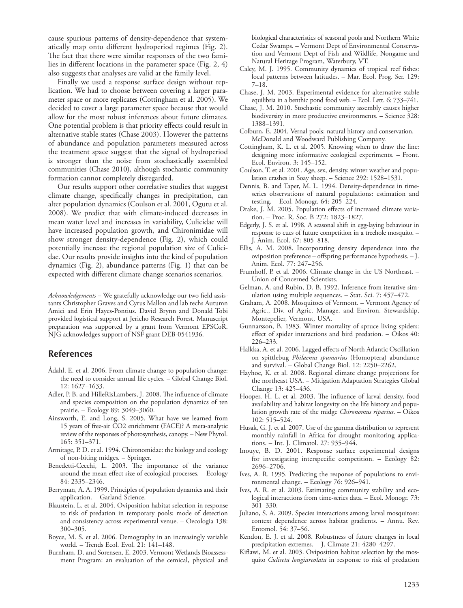cause spurious patterns of density-dependence that systematically map onto different hydroperiod regimes (Fig. 2). The fact that there were similar responses of the two families in different locations in the parameter space (Fig. 2, 4) also suggests that analyses are valid at the family level.

 Finally we used a response surface design without replication. We had to choose between covering a larger parameter space or more replicates (Cottingham et al. 2005). We decided to cover a large parameter space because that would allow for the most robust inferences about future climates. One potential problem is that priority effects could result in alternative stable states (Chase 2003). However the patterns of abundance and population parameters measured across the treatment space suggest that the signal of hydroperiod is stronger than the noise from stochastically assembled communities (Chase 2010), although stochastic community formation cannot completely disregarded.

 Our results support other correlative studies that suggest climate change, specifically changes in precipitation, can alter population dynamics (Coulson et al. 2001, Ogutu et al. 2008). We predict that with climate-induced decreases in mean water level and increases in variability, Culicidae will have increased population growth, and Chironimidae will show stronger density-dependence (Fig. 2), which could potentially increase the regional population size of Culicidae. Our results provide insights into the kind of population dynamics (Fig. 2), abundance patterns (Fig. 1) that can be expected with different climate change scenarios scenarios.

*Acknowledgements* - We gratefully acknowledge our two field assistants Christopher Graves and Cyrus Mallon and lab techs Autumn Amici and Erin Hayes-Pontius. David Brynn and Donald Tobi provided logistical support at Jericho Research Forest. Manuscript preparation was supported by a grant from Vermont EPSCoR. NJG acknowledges support of NSF grant DEB-0541936.

## **References**

- Ådahl, E. et al. 2006. From climate change to population change: the need to consider annual life cycles. – Global Change Biol. 12: 1627-1633.
- Adler, P. B. and HilleRisLambers, J. 2008. The influence of climate and species composition on the population dynamics of ten prairie. – Ecology 89: 3049–3060.
- Ainsworth, E. and Long, S. 2005. What have we learned from 15 years of free-air CO2 enrichment (FACE)? A meta-analytic review of the responses of photosynthesis, canopy. – New Phytol. 165: 351-371.
- Armitage, P. D. et al. 1994. Chironomidae: the biology and ecology of non-biting midges. – Springer.
- Benedetti-Cecchi, L. 2003. The importance of the variance around the mean effect size of ecological processes. - Ecology 84: 2335 – 2346.
- Berryman, A. A. 1999. Principles of population dynamics and their application. – Garland Science.
- Blaustein, L. et al. 2004. Oviposition habitat selection in response to risk of predation in temporary pools: mode of detection and consistency across experimental venue. – Oecologia 138: 300 – 305.
- Boyce, M. S. et al. 2006. Demography in an increasingly variable world. - Trends Ecol. Evol. 21: 141-148.
- Burnham, D. and Sorensen, E. 2003. Vermont Wetlands Bioassessment Program: an evaluation of the cemical, physical and

biological characteristics of seasonal pools and Northern White Cedar Swamps. – Vermont Dept of Environmental Conservation and Vermont Dept of Fish and Wildlife, Nongame and Natural Heritage Program, Waterbury, VT.

- Caley, M. J. 1995. Community dynamics of tropical reef fishes: local patterns between latitudes. – Mar. Ecol. Prog. Ser. 129:  $7 - 18.$
- Chase, J. M. 2003. Experimental evidence for alternative stable equilibria in a benthic pond food web. - Ecol. Lett. 6: 733-741.
- Chase, J. M. 2010. Stochastic community assembly causes higher biodiversity in more productive environments. – Science 328: 1388-1391.
- Colburn, E. 2004. Vernal pools: natural history and conservation. McDonald and Woodward Publishing Company.
- Cottingham, K. L. et al. 2005. Knowing when to draw the line: designing more informative ecological experiments. – Front. Ecol. Environ. 3: 145-152.
- Coulson, T. et al. 2001. Age, sex, density, winter weather and population crashes in Soay sheep. - Science 292: 1528-1531.
- Dennis, B. and Taper, M. L. 1994. Density-dependence in timeseries observations of natural populations: estimation and testing. – Ecol. Monogr. 64: 205–224.
- Drake, J. M. 2005. Population effects of increased climate variation. - Proc. R. Soc. B 272: 1823-1827.
- Edgerly, J. S. et al. 1998. A seasonal shift in egg-laying behaviour in response to cues of future competition in a treehole mosquito. – J. Anim. Ecol. 67: 805-818.
- Ellis, A. M. 2008. Incorporating density dependence into the oviposition preference – offspring performance hypothesis. – J. Anim. Ecol. 77: 247-256.
- Frumhoff, P. et al. 2006. Climate change in the US Northeast. -Union of Concerned Scientists.
- Gelman, A. and Rubin, D. B. 1992. Inference from iterative simulation using multiple sequences. - Stat. Sci. 7: 457-472.
- Graham, A. 2008. Mosquitoes of Vermont. Vermont Agency of Agric., Div. of Agric. Manage. and Environ. Stewardship, Montepelier, Vermont, USA.
- Gunnarsson, B. 1983. Winter mortality of spruce living spiders: effect of spider interactions and bird predation. - Oikos 40:  $226 - 233.$
- Halkka, A. et al. 2006. Lagged effects of North Atlantic Oscillation on spittlebug *Philaenus spumarius* (Homoptera) abundance and survival. - Global Change Biol. 12: 2250-2262.
- Hayhoe, K. et al. 2008. Regional climate change projections for the northeast USA. – Mitigation Adaptation Strategies Global Change 13: 425-436.
- Hooper, H. L. et al. 2003. The influence of larval density, food availability and habitat longevity on the life history and population growth rate of the midge *Chironomus riparius* . – Oikos 102: 515 – 524.
- Husak, G. J. et al. 2007. Use of the gamma distribution to represent monthly rainfall in Africa for drought monitoring applications. - Int. J. Climatol. 27: 935-944.
- Inouye, B. D. 2001. Response surface experimental designs for investigating interspecific competition. - Ecology 82: 2696-2706.
- Ives, A. R. 1995. Predicting the response of populations to environmental change. - Ecology 76: 926-941.
- Ives, A. R. et al. 2003. Estimating community stability and ecological interactions from time-series data. – Ecol. Monogr. 73:  $301 - 330$
- Juliano, S. A. 2009. Species interactions among larval mosquitoes: context dependence across habitat gradients. – Annu. Rev. Entomol. 54: 37–56 .
- Kendon, E. J. et al. 2008. Robustness of future changes in local precipitation extremes. - J. Climate 21: 4280-4297.
- Kiflawi, M. et al. 2003. Oviposition habitat selection by the mosquito *Culiseta longiareolata* in response to risk of predation